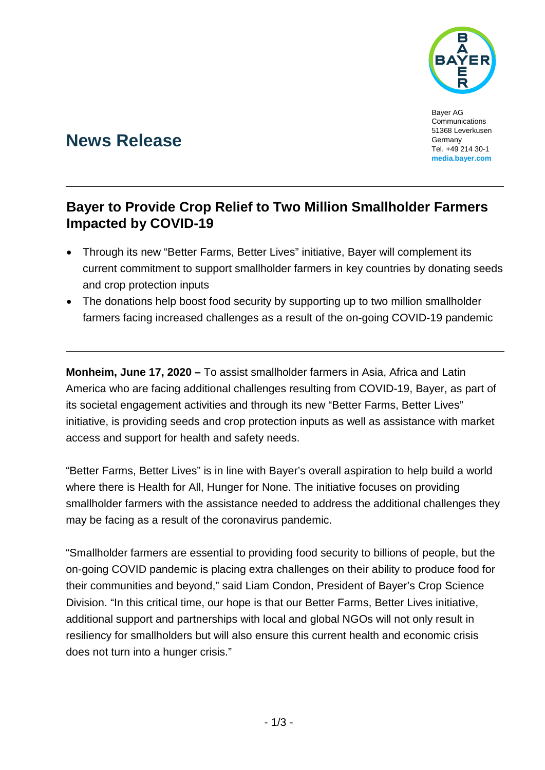

Bayer AG Communications 51368 Leverkusen Germany Tel. +49 214 30-1 **[media.bayer.com](http://media.bayer.de/)**

# **News Release**

## **Bayer to Provide Crop Relief to Two Million Smallholder Farmers Impacted by COVID-19**

- Through its new "Better Farms, Better Lives" initiative, Bayer will complement its current commitment to support smallholder farmers in key countries by donating seeds and crop protection inputs
- The donations help boost food security by supporting up to two million smallholder farmers facing increased challenges as a result of the on-going COVID-19 pandemic

**Monheim, June 17, 2020 –** To assist smallholder farmers in Asia, Africa and Latin America who are facing additional challenges resulting from COVID-19, Bayer, as part of its societal engagement activities and through its new "Better Farms, Better Lives" initiative, is providing seeds and crop protection inputs as well as assistance with market access and support for health and safety needs.

"Better Farms, Better Lives" is in line with Bayer's overall aspiration to help build a world where there is Health for All, Hunger for None. The initiative focuses on providing smallholder farmers with the assistance needed to address the additional challenges they may be facing as a result of the coronavirus pandemic.

"Smallholder farmers are essential to providing food security to billions of people, but the on-going COVID pandemic is placing extra challenges on their ability to produce food for their communities and beyond," said Liam Condon, President of Bayer's Crop Science Division. "In this critical time, our hope is that our Better Farms, Better Lives initiative, additional support and partnerships with local and global NGOs will not only result in resiliency for smallholders but will also ensure this current health and economic crisis does not turn into a hunger crisis."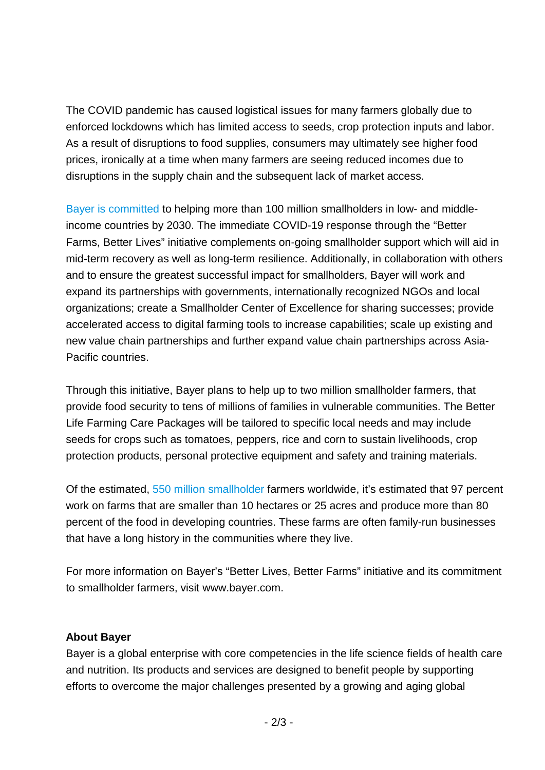The COVID pandemic has caused logistical issues for many farmers globally due to enforced lockdowns which has limited access to seeds, crop protection inputs and labor. As a result of disruptions to food supplies, consumers may ultimately see higher food prices, ironically at a time when many farmers are seeing reduced incomes due to disruptions in the supply chain and the subsequent lack of market access.

[Bayer is committed](https://media.bayer.com/baynews/baynews.nsf/id/Bayer-committed-to-shaping-a-more-sustainable-food-system) to helping more than 100 million smallholders in low- and middleincome countries by 2030. The immediate COVID-19 response through the "Better Farms, Better Lives" initiative complements on-going smallholder support which will aid in mid-term recovery as well as long-term resilience. Additionally, in collaboration with others and to ensure the greatest successful impact for smallholders, Bayer will work and expand its partnerships with governments, internationally recognized NGOs and local organizations; create a Smallholder Center of Excellence for sharing successes; provide accelerated access to digital farming tools to increase capabilities; scale up existing and new value chain partnerships and further expand value chain partnerships across Asia-Pacific countries.

Through this initiative, Bayer plans to help up to two million smallholder farmers, that provide food security to tens of millions of families in vulnerable communities. The Better Life Farming Care Packages will be tailored to specific local needs and may include seeds for crops such as tomatoes, peppers, rice and corn to sustain livelihoods, crop protection products, personal protective equipment and safety and training materials.

Of the estimated, [550 million smallholder](https://www.cropscience.bayer.com/people-planet/impact/smallholder-farmers) farmers worldwide, it's estimated that 97 percent work on farms that are smaller than 10 hectares or 25 acres and produce more than 80 percent of the food in developing countries. These farms are often family-run businesses that have a long history in the communities where they live.

For more information on Bayer's "Better Lives, Better Farms" initiative and its commitment to smallholder farmers, visit www.bayer.com.

### **About Bayer**

Bayer is a global enterprise with core competencies in the life science fields of health care and nutrition. Its products and services are designed to benefit people by supporting efforts to overcome the major challenges presented by a growing and aging global